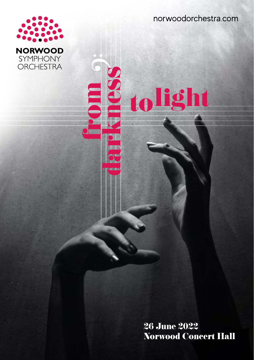norwoodorchestra.com



**26 June 2022 Norwood Concert Hall**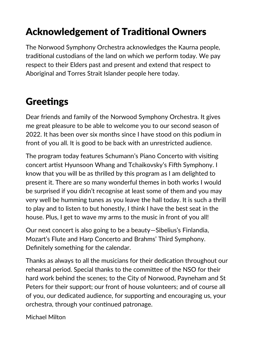# Acknowledgement of Traditional Owners

The Norwood Symphony Orchestra acknowledges the Kaurna people, traditional custodians of the land on which we perform today. We pay respect to their Elders past and present and extend that respect to Aboriginal and Torres Strait Islander people here today.

# **Greetings**

Dear friends and family of the Norwood Symphony Orchestra. It gives me great pleasure to be able to welcome you to our second season of 2022. It has been over six months since I have stood on this podium in front of you all. It is good to be back with an unrestricted audience.

The program today features Schumann's Piano Concerto with visiting concert artist Hyunsoon Whang and Tchaikovsky's Fifth Symphony. I know that you will be as thrilled by this program as I am delighted to present it. There are so many wonderful themes in both works I would be surprised if you didn't recognise at least some of them and you may very well be humming tunes as you leave the hall today. It is such a thrill to play and to listen to but honestly, I think I have the best seat in the house. Plus, I get to wave my arms to the music in front of you all!

Our next concert is also going to be a beauty—Sibelius's Finlandia, Mozart's Flute and Harp Concerto and Brahms' Third Symphony. Definitely something for the calendar.

Thanks as always to all the musicians for their dedication throughout our rehearsal period. Special thanks to the committee of the NSO for their hard work behind the scenes; to the City of Norwood, Payneham and St Peters for their support; our front of house volunteers; and of course all of you, our dedicated audience, for supporting and encouraging us, your orchestra, through your continued patronage.

Michael Milton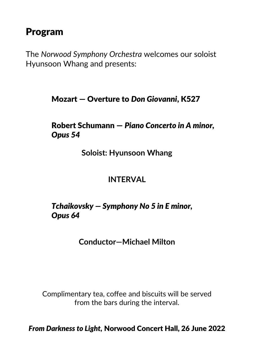# Program

The *Norwood Symphony Orchestra* welcomes our soloist Hyunsoon Whang and presents:

### Mozart — Overture to *Don Giovanni*, K527

Robert Schumann — *Piano Concerto in A minor, Opus 54*

**Soloist: Hyunsoon Whang**

### **INTERVAL**

### *Tchaikovsky — Symphony No 5 in E minor, Opus 64*

**Conductor—Michael Milton**

Complimentary tea, coffee and biscuits will be served from the bars during the interval.

*From Darkness to Light,* Norwood Concert Hall, 26 June 2022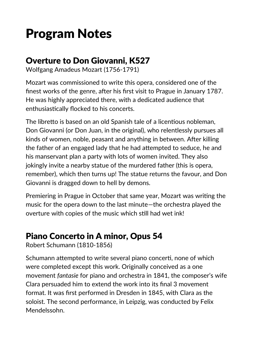# Program Notes

### Overture to Don Giovanni, K527

Wolfgang Amadeus Mozart (1756-1791)

Mozart was commissioned to write this opera, considered one of the finest works of the genre, after his first visit to Prague in January 1787. He was highly appreciated there, with a dedicated audience that enthusiastically flocked to his concerts.

The libretto is based on an old Spanish tale of a licentious nobleman, Don Giovanni (or Don Juan, in the original), who relentlessly pursues all kinds of women, noble, peasant and anything in between. After killing the father of an engaged lady that he had attempted to seduce, he and his manservant plan a party with lots of women invited. They also jokingly invite a nearby statue of the murdered father (this is opera, remember), which then turns up! The statue returns the favour, and Don Giovanni is dragged down to hell by demons.

Premiering in Prague in October that same year, Mozart was writing the music for the opera down to the last minute—the orchestra played the overture with copies of the music which still had wet ink!

## Piano Concerto in A minor, Opus 54

Robert Schumann (1810-1856)

Schumann attempted to write several piano concerti, none of which were completed except this work. Originally conceived as a one movement *fantasie* for piano and orchestra in 1841, the composer's wife Clara persuaded him to extend the work into its final 3 movement format. It was first performed in Dresden in 1845, with Clara as the soloist. The second performance, in Leipzig, was conducted by Felix Mendelssohn.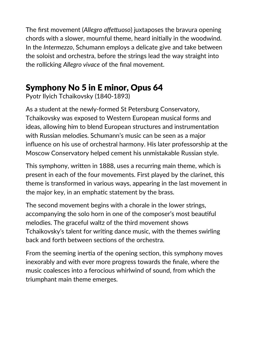The first movement (*Allegro affettuoso*) juxtaposes the bravura opening chords with a slower, mournful theme, heard initially in the woodwind. In the *Intermezzo*, Schumann employs a delicate give and take between the soloist and orchestra, before the strings lead the way straight into the rollicking *Allegro vivace* of the final movement.

## Symphony No 5 in E minor, Opus 64

Pyotr Ilyich Tchaikovsky (1840-1893)

As a student at the newly-formed St Petersburg Conservatory, Tchaikovsky was exposed to Western European musical forms and ideas, allowing him to blend European structures and instrumentation with Russian melodies. Schumann's music can be seen as a major influence on his use of orchestral harmony. His later professorship at the Moscow Conservatory helped cement his unmistakable Russian style.

This symphony, written in 1888, uses a recurring main theme, which is present in each of the four movements. First played by the clarinet, this theme is transformed in various ways, appearing in the last movement in the major key, in an emphatic statement by the brass.

The second movement begins with a chorale in the lower strings, accompanying the solo horn in one of the composer's most beautiful melodies. The graceful waltz of the third movement shows Tchaikovsky's talent for writing dance music, with the themes swirling back and forth between sections of the orchestra.

From the seeming inertia of the opening section, this symphony moves inexorably and with ever more progress towards the finale, where the music coalesces into a ferocious whirlwind of sound, from which the triumphant main theme emerges.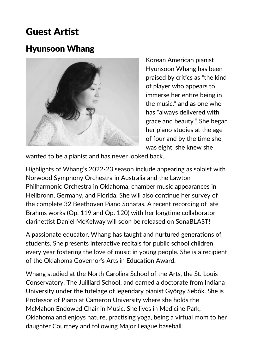# Guest Artist

## Hyunsoon Whang



Korean American pianist Hyunsoon Whang has been praised by critics as "the kind of player who appears to immerse her entire being in the music," and as one who has "always delivered with grace and beauty." She began her piano studies at the age of four and by the time she was eight, she knew she

wanted to be a pianist and has never looked back.

Highlights of Whang's 2022-23 season include appearing as soloist with Norwood Symphony Orchestra in Australia and the Lawton Philharmonic Orchestra in Oklahoma, chamber music appearances in Heilbronn, Germany, and Florida. She will also continue her survey of the complete 32 Beethoven Piano Sonatas. A recent recording of late Brahms works (Op. 119 and Op. 120) with her longtime collaborator clarinettist Daniel McKelway will soon be released on SonaBLAST!

A passionate educator, Whang has taught and nurtured generations of students. She presents interactive recitals for public school children every year fostering the love of music in young people. She is a recipient of the Oklahoma Governor's Arts in Education Award.

Whang studied at the North Carolina School of the Arts, the St. Louis Conservatory, The Juilliard School, and earned a doctorate from Indiana University under the tutelage of legendary pianist György Sebők. She is Professor of Piano at Cameron University where she holds the McMahon Endowed Chair in Music. She lives in Medicine Park, Oklahoma and enjoys nature, practising yoga, being a virtual mom to her daughter Courtney and following Major League baseball.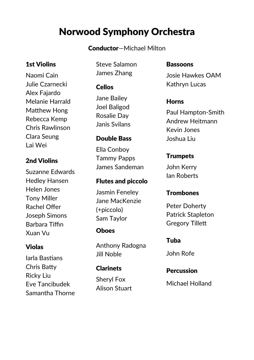# Norwood Symphony Orchestra

#### Conductor—Michael Milton

#### 1st Violins

Naomi Cain Julie Czarnecki Alex Fajardo Melanie Harrald Matthew Hong Rebecca Kemp Chris Rawlinson Clara Seung Lai Wei

#### 2nd Violins

Suzanne Edwards Hedley Hansen Helen Jones Tony Miller Rachel Offer Joseph Simons Barbara Tiffin Xuan Vu

#### Violas

Iarla Bastians Chris Batty Ricky Liu Eve Tancibudek Samantha Thorne Steve Salamon James Zhang

#### Cellos

Jane Bailey Joel Baligod Rosalie Day Janis Svilans

#### Double Bass

Ella Conboy Tammy Papps James Sandeman

#### Flutes and piccolo

Jasmin Feneley Jane MacKenzie (+piccolo) Sam Taylor

#### **Ohoes**

Anthony Radogna Jill Noble

#### Clarinets

Sheryl Fox Alison Stuart

#### Bassoons

Josie Hawkes OAM Kathryn Lucas

#### Horns

Paul Hampton-Smith Andrew Heitmann Kevin Jones Joshua Liu

#### **Trumpets**

John Kerry Ian Roberts

#### **Trombones**

Peter Doherty Patrick Stapleton Gregory Tillett

#### Tuba

John Rofe

# **Percussion**

Michael Holland